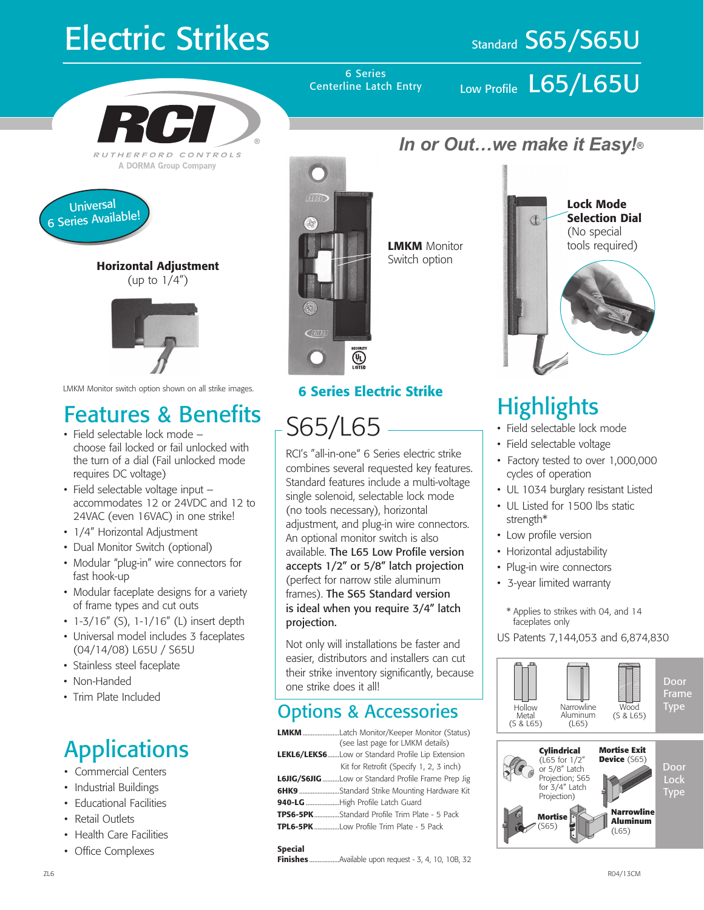# **Electric Strikes**

### Standard S65/S65U



A DORMA Group Company



Horizontal Adjustment (up to  $1/4$ ")



LMKM Monitor switch option shown on all strike images. **6 Series Electric Strike** 

### Features & Benefits

- Field selectable lock mode choose fail locked or fail unlocked with the turn of a dial (Fail unlocked mode requires DC voltage)
- Field selectable voltage input accommodates 12 or 24VDC and 12 to 24VAC (even 16VAC) in one strike!
- 1/4" Horizontal Adjustment
- Dual Monitor Switch (optional)
- Modular "plug-in" wire connectors for fast hook-up
- Modular faceplate designs for a variety of frame types and cut outs
- $1-3/16''$  (S),  $1-1/16''$  (L) insert depth
- Universal model includes 3 faceplates (04/14/08) L65U / S65U
- Stainless steel faceplate
- Non-Handed
- Trim Plate Included

### **Applications**

- Commercial Centers
- Industrial Buildings
- Educational Facilities
- Retail Outlets
- Health Care Facilities
- Office Complexes



S65/L65

projection.

one strike does it all!

RCI's "all-in-one" 6 Series electric strike combines several requested key features. Standard features include a multi-voltage single solenoid, selectable lock mode (no tools necessary), horizontal

adjustment, and plug-in wire connectors. An optional monitor switch is also available. The L65 Low Profile version accepts 1/2" or 5/8" latch projection (perfect for narrow stile aluminum frames). The S65 Standard version is ideal when you require 3/4" latch

Options & Accessories LMKM......................Latch Monitor/Keeper Monitor (Status)

Not only will installations be faster and easier, distributors and installers can cut their strike inventory significantly, because

LEKL6/LEKS6.......Low or Standard Profile Lip Extension

L6JIG/S6JIG..........Low or Standard Profile Frame Prep Jig 6HK9 ........................Standard Strike Mounting Hardware Kit

Finishes..................Available upon request - 3, 4, 10, 10B, 32

940-LG .....................High Profile Latch Guard TPS6-5PK...............Standard Profile Trim Plate - 5 Pack TPL6-5PK...............Low Profile Trim Plate - 5 Pack

Special

(see last page for LMKM details)

Kit for Retrofit (Specify 1, 2, 3 inch)

Switch option



### **Highlights**

- Field selectable lock mode
- Field selectable voltage
- Factory tested to over 1,000,000 cycles of operation
- UL 1034 burglary resistant Listed
- UL Listed for 1500 lbs static strength\*
- Low profile version
- Horizontal adjustability
- Plug-in wire connectors
- 3-year limited warranty
	- \* Applies to strikes with 04, and 14 faceplates only
- US Patents 7,144,053 and 6,874,830



Centerline Latch Entry

6 Series<br>ine Latch Entry Low Profile  $L65/L65U$ 

*In or Out…we make it Easy!®*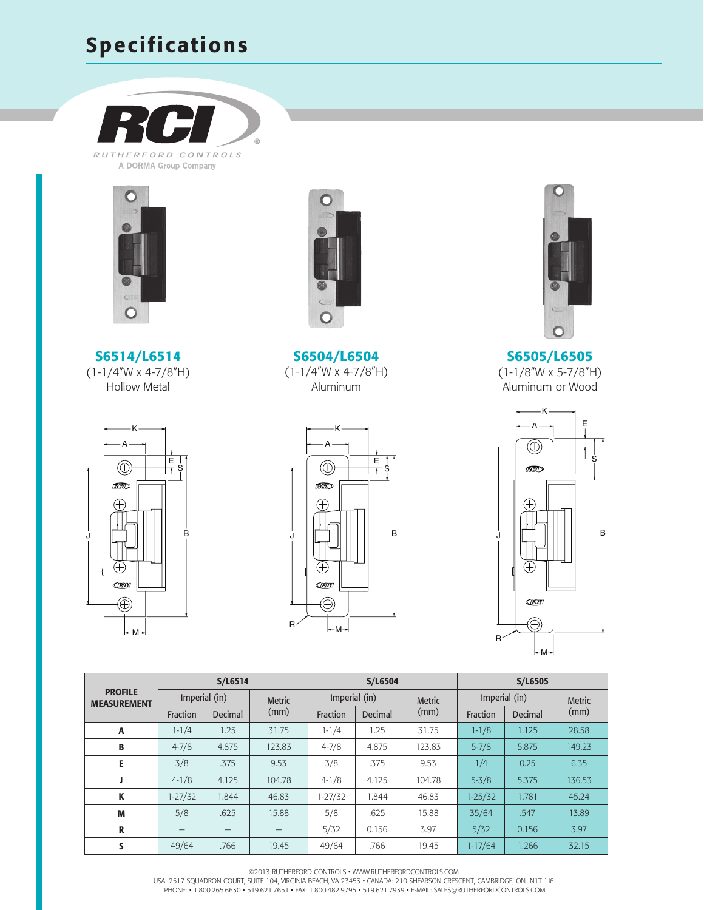#### Specifications



RUTHERFORD CONTROLS A DORMA Group Company









S6504/L6504 (1-1/4"W x 4-7/8"H) Aluminum





S6505/L6505 (1-1/8"W x 5-7/8"H) Aluminum or Wood



|                                      | S/L6514       |         |               |               | S/L6504 |               | S/L6505       |         |               |  |
|--------------------------------------|---------------|---------|---------------|---------------|---------|---------------|---------------|---------|---------------|--|
| <b>PROFILE</b><br><b>MEASUREMENT</b> | Imperial (in) |         | <b>Metric</b> | Imperial (in) |         | <b>Metric</b> | Imperial (in) |         | <b>Metric</b> |  |
|                                      | Fraction      | Decimal | (mm)          | Fraction      | Decimal | (mm)          | Fraction      | Decimal | (mm)          |  |
| A                                    | $1 - 1/4$     | 1.25    | 31.75         | $1 - 1/4$     | 1.25    | 31.75         | $1 - 1/8$     | 1.125   | 28.58         |  |
| B                                    | $4 - 7/8$     | 4.875   | 123.83        | $4 - 7/8$     | 4.875   | 123.83        | $5 - 7/8$     | 5.875   | 149.23        |  |
| Е                                    | 3/8           | .375    | 9.53          | 3/8           | .375    | 9.53          | 1/4           | 0.25    | 6.35          |  |
|                                      | $4 - 1/8$     | 4.125   | 104.78        | $4 - 1/8$     | 4.125   | 104.78        | $5 - 3/8$     | 5.375   | 136.53        |  |
| К                                    | $1 - 27/32$   | 1.844   | 46.83         | $1 - 27/32$   | 1.844   | 46.83         | $1 - 25/32$   | 1.781   | 45.24         |  |
| M                                    | 5/8           | .625    | 15.88         | 5/8           | .625    | 15.88         | 35/64         | .547    | 13.89         |  |
| R                                    |               | —       |               | 5/32          | 0.156   | 3.97          | 5/32          | 0.156   | 3.97          |  |
| S                                    | 49/64         | .766    | 19.45         | 49/64         | .766    | 19.45         | $1-17/64$     | 1.266   | 32.15         |  |

©2013 Rutherford controls • www.rutherfordcontrols.com

USA: 2517 SQUADRON COURT, SUITE 104, VIRGINIA BEACH, VA 23453 • CANADA: 210 SHEARSON CRESCENT, CAMBRIDGE, ON N1T 1J6<br>PHONE: • 1.800.265.6630 • 519.621.7651 • FAX: 1.800.482.9795 • 519.621.7939 • E-MAIL: SALES@RUTHERFORDCON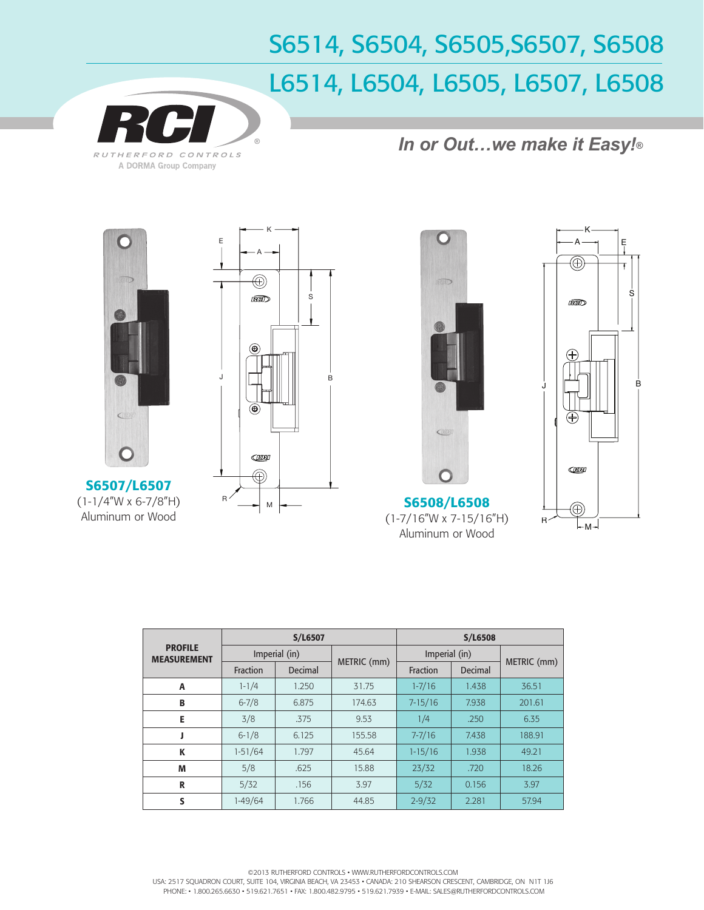## S6514, S6504, S6505,S6507, S6508 L6514, L6504, L6505, L6507, L6508



*In or Out…we make it Easy!®*



S6507/L6507 (1-1/4"W x 6-7/8"H) Aluminum or Wood







|                                      |           | S/L6507       |             | <b>S/L6508</b> |         |             |  |
|--------------------------------------|-----------|---------------|-------------|----------------|---------|-------------|--|
| <b>PROFILE</b><br><b>MEASUREMENT</b> |           | Imperial (in) |             | Imperial (in)  |         |             |  |
|                                      | Fraction  | Decimal       | METRIC (mm) | Fraction       | Decimal | METRIC (mm) |  |
| A                                    | $1 - 1/4$ | 1.250         | 31.75       | $1 - 7/16$     | 1.438   | 36.51       |  |
| B                                    | $6 - 7/8$ | 6.875         | 174.63      | $7 - 15/16$    | 7.938   | 201.61      |  |
| E                                    | 3/8       | .375          | 9.53        | 1/4            | .250    | 6.35        |  |
|                                      | $6 - 1/8$ | 6.125         | 155.58      | $7 - 7/16$     | 7.438   | 188.91      |  |
| К                                    | $1-51/64$ | 1.797         | 45.64       | $1 - 15/16$    | 1.938   | 49.21       |  |
| M                                    | 5/8       | .625          | 15.88       | 23/32          | .720    | 18.26       |  |
| R                                    | 5/32      | .156          | 3.97        | 5/32           | 0.156   | 3.97        |  |
| S                                    | 1-49/64   | 1.766         | 44.85       | $2 - 9/32$     | 2.281   | 57.94       |  |

©2013 Rutherford controls • www.rutherfordcontrols.com USA: 2517 SQUADRON COURT, SUITE 104, VIRGINIA BEACH, VA 23453 · CANADA: 210 SHEARSON CRESCENT, CAMBRIDGE, ON N1T 1J6 PHONE: • 1.800.265.6630 • 519.621.7651 • FAX: 1.800.482.9795 • 519.621.7939 • e-mail: sales@rutherfordcontrols.com